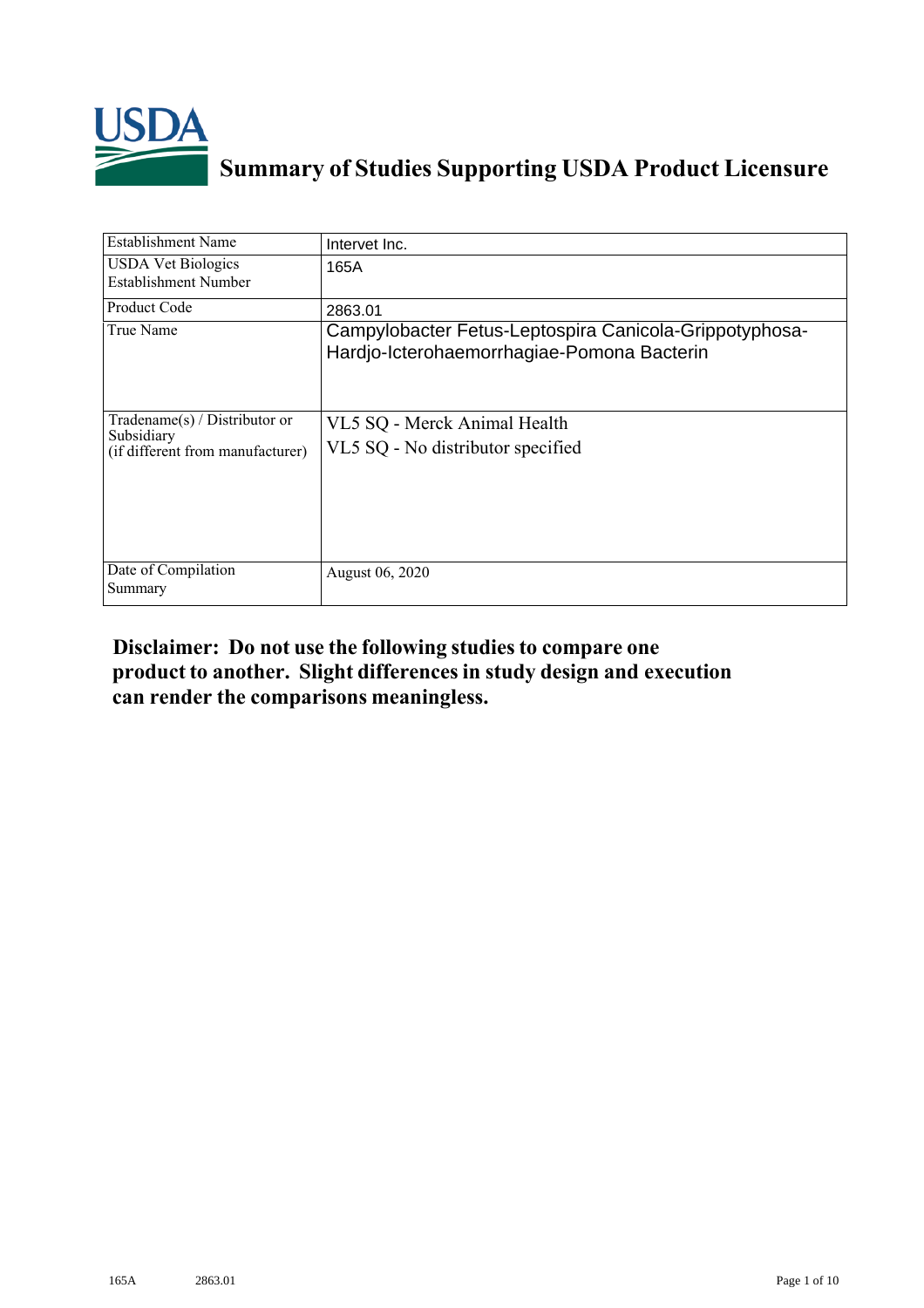

## **Summary of Studies Supporting USDA Product Licensure**

| <b>Establishment Name</b>                                                       | Intervet Inc.                                                                                        |
|---------------------------------------------------------------------------------|------------------------------------------------------------------------------------------------------|
| <b>USDA Vet Biologics</b><br>Establishment Number                               | 165A                                                                                                 |
| Product Code                                                                    | 2863.01                                                                                              |
| True Name                                                                       | Campylobacter Fetus-Leptospira Canicola-Grippotyphosa-<br>Hardjo-Icterohaemorrhagiae-Pomona Bacterin |
| Tradename(s) / Distributor or<br>Subsidiary<br>(if different from manufacturer) | VL5 SQ - Merck Animal Health<br>VL5 SQ - No distributor specified                                    |
| Date of Compilation<br>Summary                                                  | August 06, 2020                                                                                      |

## **Disclaimer: Do not use the following studiesto compare one product to another. Slight differencesin study design and execution can render the comparisons meaningless.**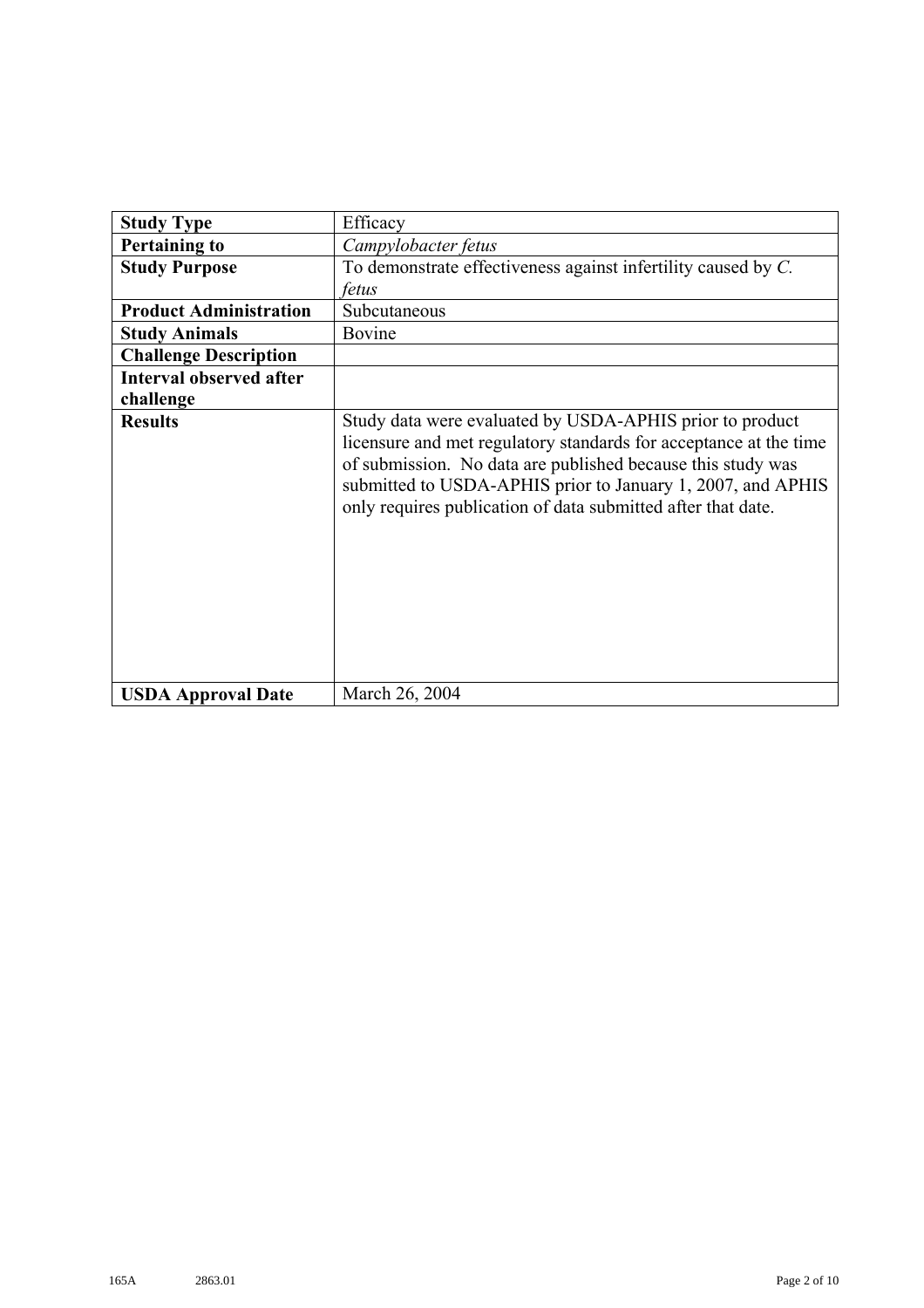| <b>Study Type</b>              | Efficacy                                                                                                                                                                                                                                                                                                                    |  |
|--------------------------------|-----------------------------------------------------------------------------------------------------------------------------------------------------------------------------------------------------------------------------------------------------------------------------------------------------------------------------|--|
| <b>Pertaining to</b>           | Campylobacter fetus                                                                                                                                                                                                                                                                                                         |  |
| <b>Study Purpose</b>           | To demonstrate effectiveness against infertility caused by C.                                                                                                                                                                                                                                                               |  |
|                                | fetus                                                                                                                                                                                                                                                                                                                       |  |
| <b>Product Administration</b>  | Subcutaneous                                                                                                                                                                                                                                                                                                                |  |
| <b>Study Animals</b>           | Bovine                                                                                                                                                                                                                                                                                                                      |  |
| <b>Challenge Description</b>   |                                                                                                                                                                                                                                                                                                                             |  |
| <b>Interval observed after</b> |                                                                                                                                                                                                                                                                                                                             |  |
| challenge                      |                                                                                                                                                                                                                                                                                                                             |  |
| <b>Results</b>                 | Study data were evaluated by USDA-APHIS prior to product<br>licensure and met regulatory standards for acceptance at the time<br>of submission. No data are published because this study was<br>submitted to USDA-APHIS prior to January 1, 2007, and APHIS<br>only requires publication of data submitted after that date. |  |
| <b>USDA Approval Date</b>      | March 26, 2004                                                                                                                                                                                                                                                                                                              |  |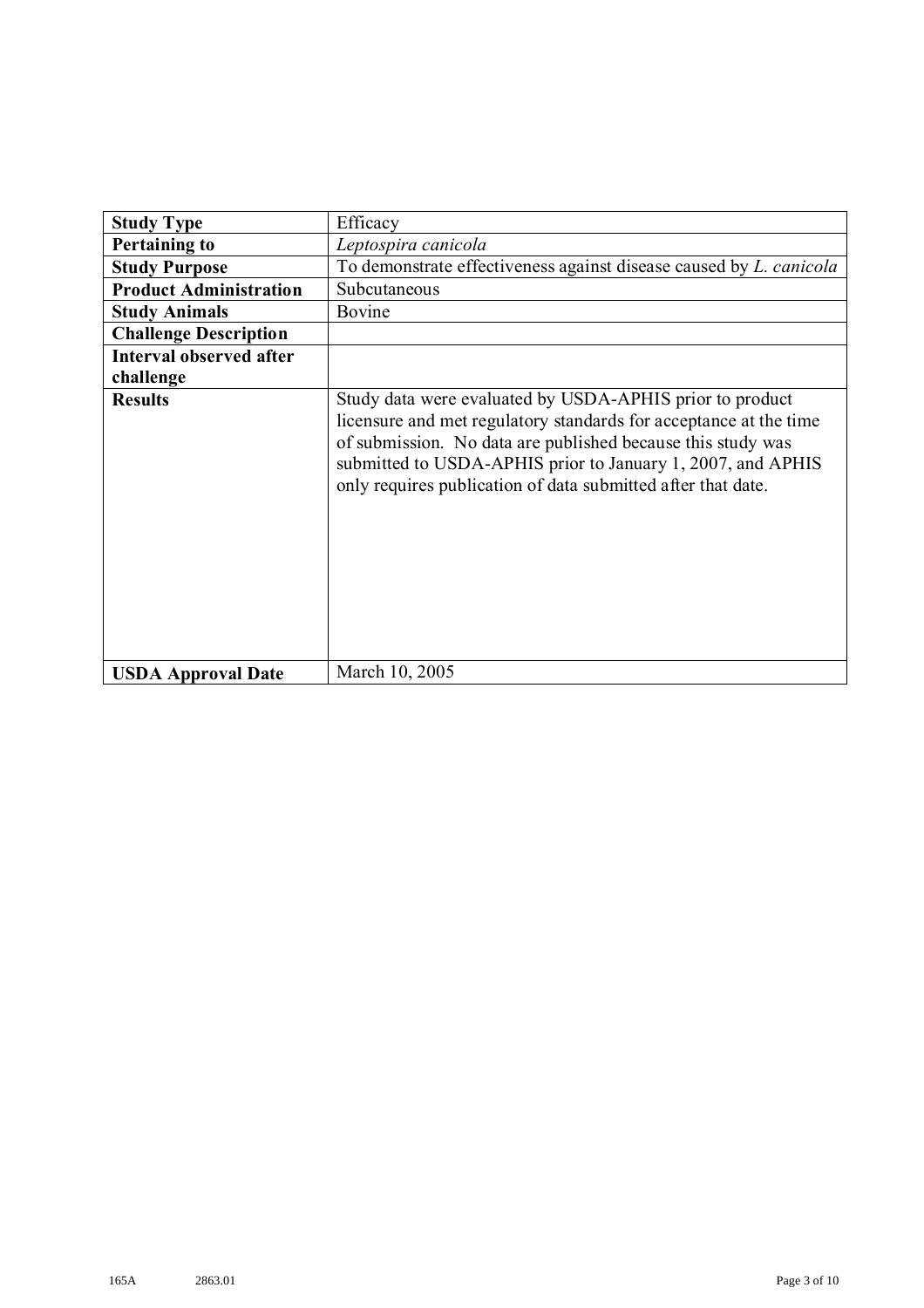| <b>Study Type</b>              | Efficacy                                                                                                                                                                                                                                                                                                                    |  |
|--------------------------------|-----------------------------------------------------------------------------------------------------------------------------------------------------------------------------------------------------------------------------------------------------------------------------------------------------------------------------|--|
| <b>Pertaining to</b>           | Leptospira canicola                                                                                                                                                                                                                                                                                                         |  |
| <b>Study Purpose</b>           | To demonstrate effectiveness against disease caused by <i>L. canicola</i>                                                                                                                                                                                                                                                   |  |
| <b>Product Administration</b>  | Subcutaneous                                                                                                                                                                                                                                                                                                                |  |
| <b>Study Animals</b>           | Bovine                                                                                                                                                                                                                                                                                                                      |  |
| <b>Challenge Description</b>   |                                                                                                                                                                                                                                                                                                                             |  |
| <b>Interval observed after</b> |                                                                                                                                                                                                                                                                                                                             |  |
| challenge                      |                                                                                                                                                                                                                                                                                                                             |  |
| <b>Results</b>                 | Study data were evaluated by USDA-APHIS prior to product<br>licensure and met regulatory standards for acceptance at the time<br>of submission. No data are published because this study was<br>submitted to USDA-APHIS prior to January 1, 2007, and APHIS<br>only requires publication of data submitted after that date. |  |
| <b>USDA Approval Date</b>      | March 10, 2005                                                                                                                                                                                                                                                                                                              |  |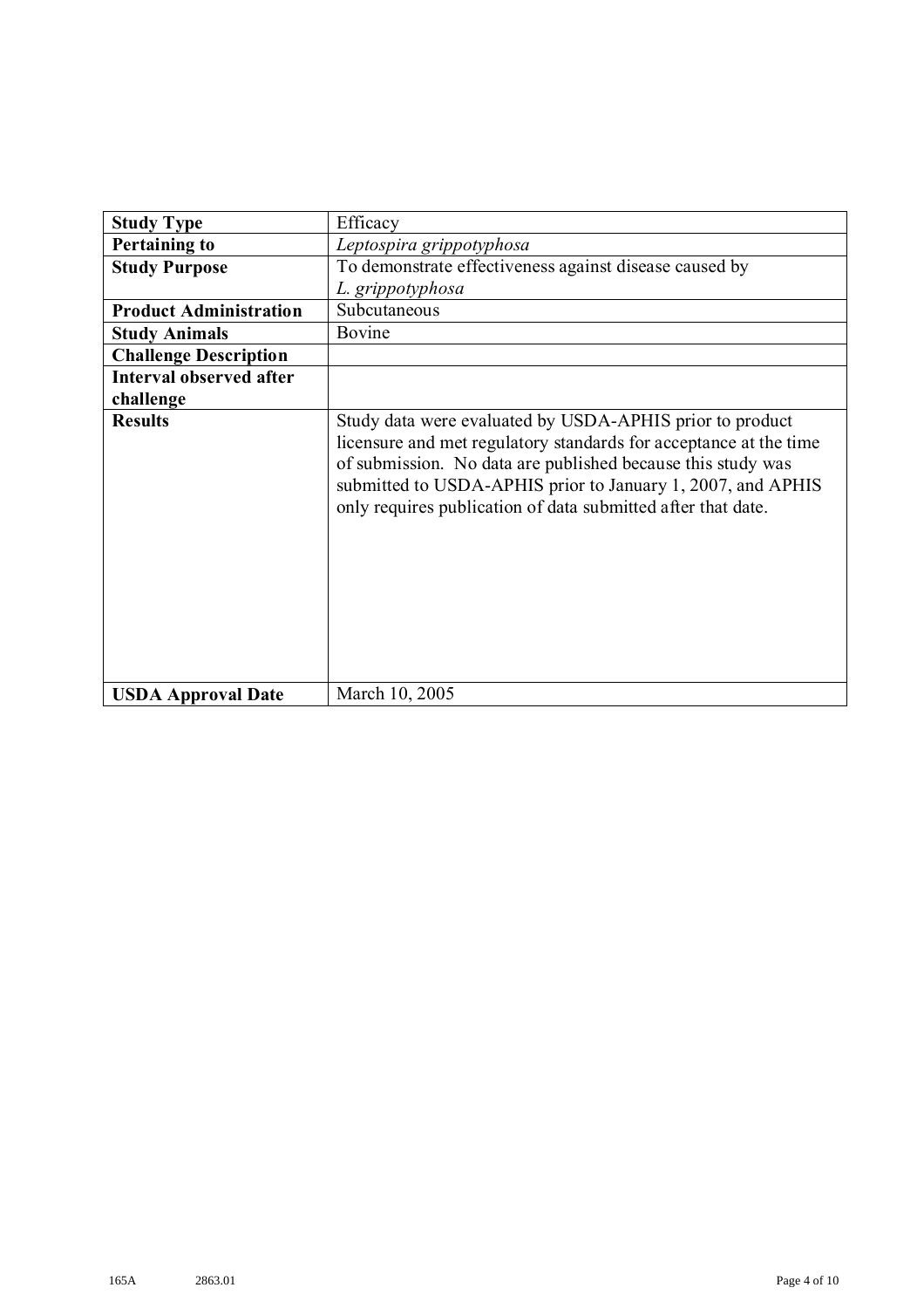| <b>Study Type</b>              | Efficacy                                                                                                                                                                                                                                                                                                                    |  |
|--------------------------------|-----------------------------------------------------------------------------------------------------------------------------------------------------------------------------------------------------------------------------------------------------------------------------------------------------------------------------|--|
| <b>Pertaining to</b>           | Leptospira grippotyphosa                                                                                                                                                                                                                                                                                                    |  |
| <b>Study Purpose</b>           | To demonstrate effectiveness against disease caused by                                                                                                                                                                                                                                                                      |  |
|                                | L. grippotyphosa                                                                                                                                                                                                                                                                                                            |  |
| <b>Product Administration</b>  | Subcutaneous                                                                                                                                                                                                                                                                                                                |  |
| <b>Study Animals</b>           | Bovine                                                                                                                                                                                                                                                                                                                      |  |
| <b>Challenge Description</b>   |                                                                                                                                                                                                                                                                                                                             |  |
| <b>Interval observed after</b> |                                                                                                                                                                                                                                                                                                                             |  |
| challenge                      |                                                                                                                                                                                                                                                                                                                             |  |
| <b>Results</b>                 | Study data were evaluated by USDA-APHIS prior to product<br>licensure and met regulatory standards for acceptance at the time<br>of submission. No data are published because this study was<br>submitted to USDA-APHIS prior to January 1, 2007, and APHIS<br>only requires publication of data submitted after that date. |  |
| <b>USDA Approval Date</b>      | March 10, 2005                                                                                                                                                                                                                                                                                                              |  |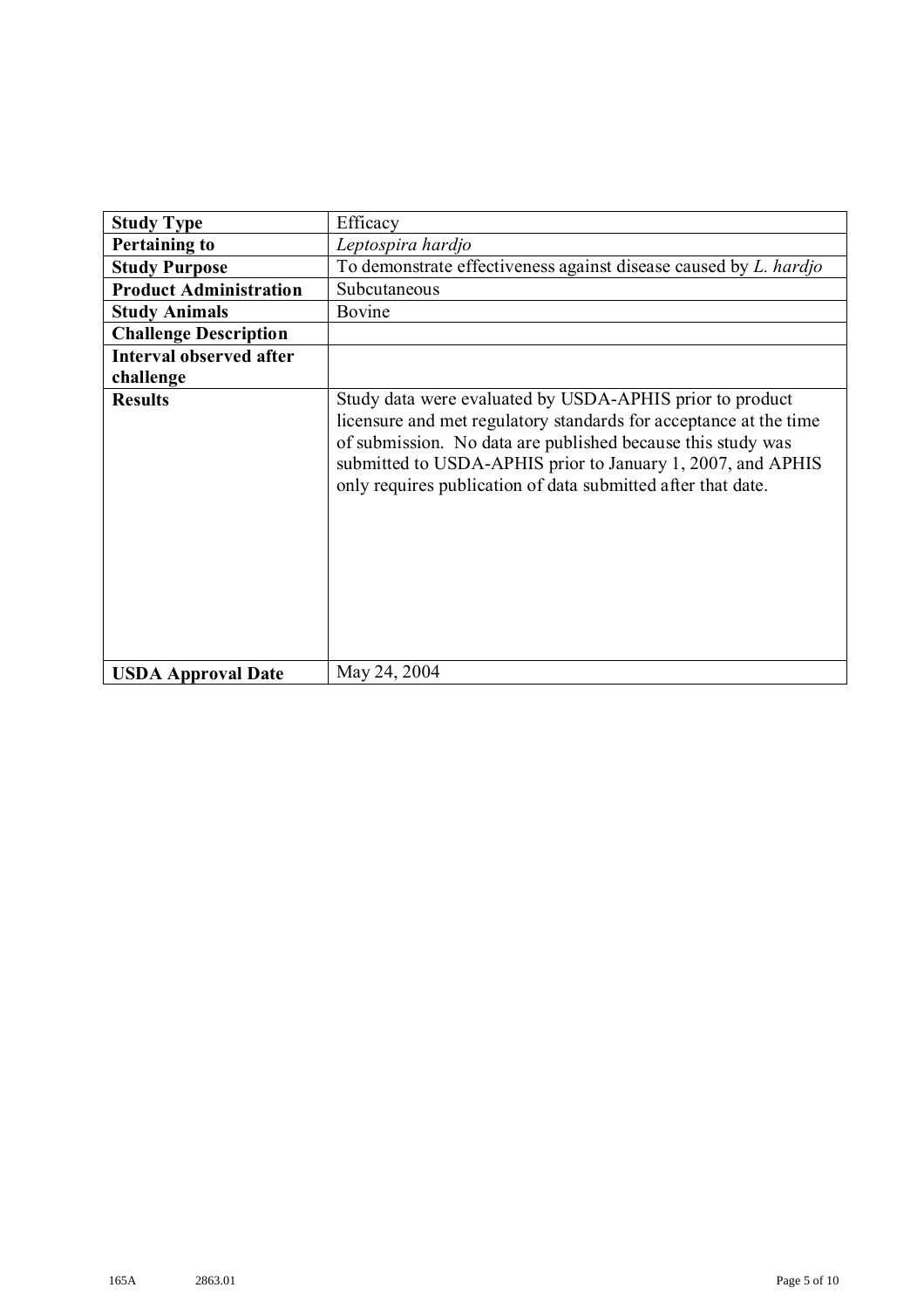| <b>Study Type</b>              | Efficacy                                                                                                                                                                                                                                                                                                                    |  |
|--------------------------------|-----------------------------------------------------------------------------------------------------------------------------------------------------------------------------------------------------------------------------------------------------------------------------------------------------------------------------|--|
|                                |                                                                                                                                                                                                                                                                                                                             |  |
| <b>Pertaining to</b>           | Leptospira hardjo                                                                                                                                                                                                                                                                                                           |  |
| <b>Study Purpose</b>           | To demonstrate effectiveness against disease caused by L. hardjo                                                                                                                                                                                                                                                            |  |
| <b>Product Administration</b>  | Subcutaneous                                                                                                                                                                                                                                                                                                                |  |
| <b>Study Animals</b>           | Bovine                                                                                                                                                                                                                                                                                                                      |  |
| <b>Challenge Description</b>   |                                                                                                                                                                                                                                                                                                                             |  |
| <b>Interval observed after</b> |                                                                                                                                                                                                                                                                                                                             |  |
| challenge                      |                                                                                                                                                                                                                                                                                                                             |  |
| <b>Results</b>                 | Study data were evaluated by USDA-APHIS prior to product<br>licensure and met regulatory standards for acceptance at the time<br>of submission. No data are published because this study was<br>submitted to USDA-APHIS prior to January 1, 2007, and APHIS<br>only requires publication of data submitted after that date. |  |
| <b>USDA Approval Date</b>      | May 24, 2004                                                                                                                                                                                                                                                                                                                |  |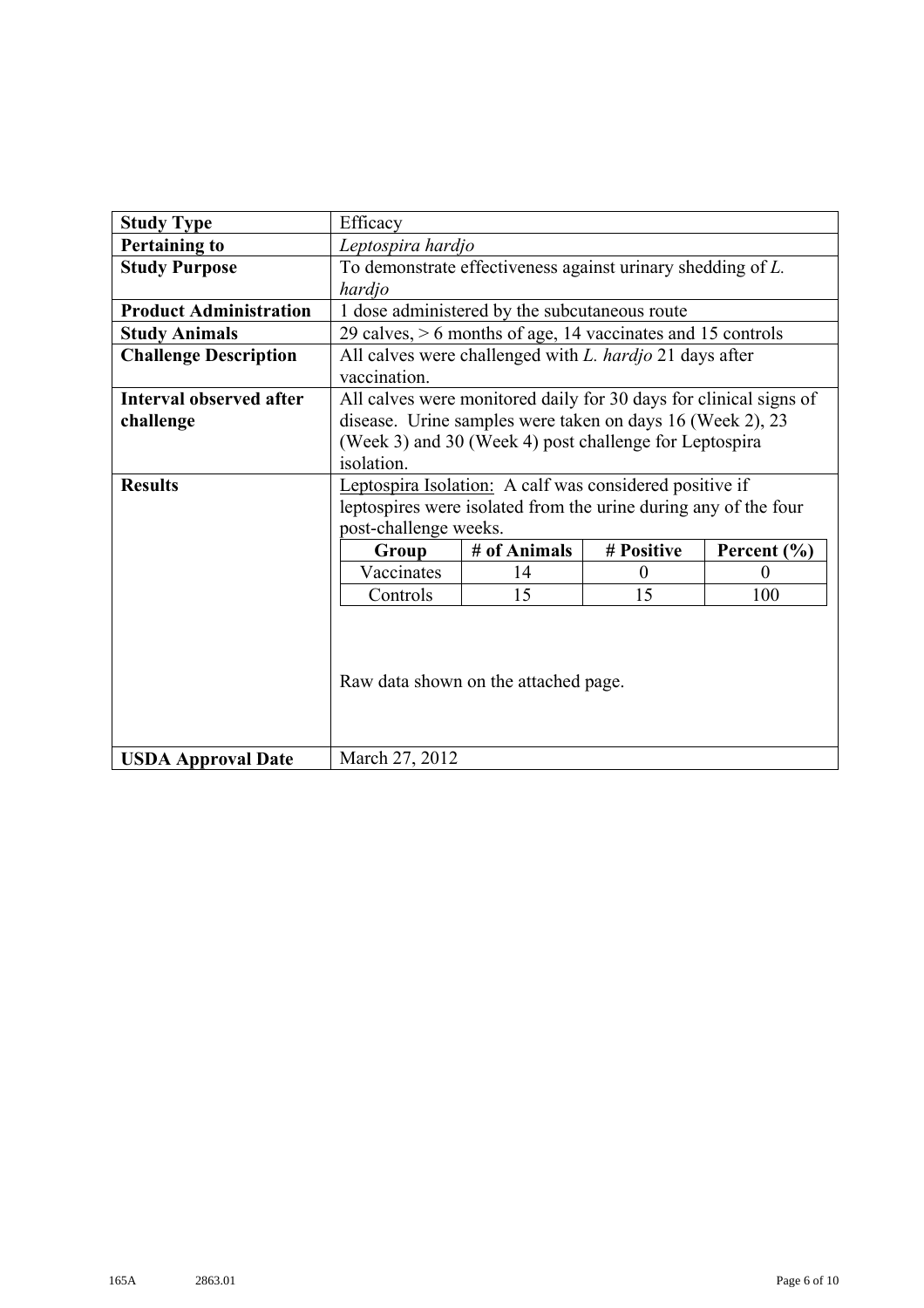| <b>Study Type</b>              | Efficacy                                                          |                                               |            |                 |
|--------------------------------|-------------------------------------------------------------------|-----------------------------------------------|------------|-----------------|
| <b>Pertaining to</b>           | Leptospira hardjo                                                 |                                               |            |                 |
| <b>Study Purpose</b>           | To demonstrate effectiveness against urinary shedding of L.       |                                               |            |                 |
|                                | hardjo                                                            |                                               |            |                 |
| <b>Product Administration</b>  |                                                                   | 1 dose administered by the subcutaneous route |            |                 |
| <b>Study Animals</b>           | 29 calves, $> 6$ months of age, 14 vaccinates and 15 controls     |                                               |            |                 |
| <b>Challenge Description</b>   | All calves were challenged with <i>L. hardjo</i> 21 days after    |                                               |            |                 |
|                                | vaccination.                                                      |                                               |            |                 |
| <b>Interval observed after</b> | All calves were monitored daily for 30 days for clinical signs of |                                               |            |                 |
| challenge                      | disease. Urine samples were taken on days 16 (Week 2), 23         |                                               |            |                 |
|                                | (Week 3) and 30 (Week 4) post challenge for Leptospira            |                                               |            |                 |
|                                | isolation.                                                        |                                               |            |                 |
| <b>Results</b>                 | Leptospira Isolation: A calf was considered positive if           |                                               |            |                 |
|                                | leptospires were isolated from the urine during any of the four   |                                               |            |                 |
|                                | post-challenge weeks.                                             |                                               |            |                 |
|                                | Group                                                             | # of Animals                                  | # Positive | Percent $(\% )$ |
|                                | Vaccinates                                                        | 14                                            | $\Omega$   | $\Omega$        |
|                                | Controls                                                          | 15                                            | 15         | 100             |
|                                | Raw data shown on the attached page.                              |                                               |            |                 |
| <b>USDA Approval Date</b>      | March 27, 2012                                                    |                                               |            |                 |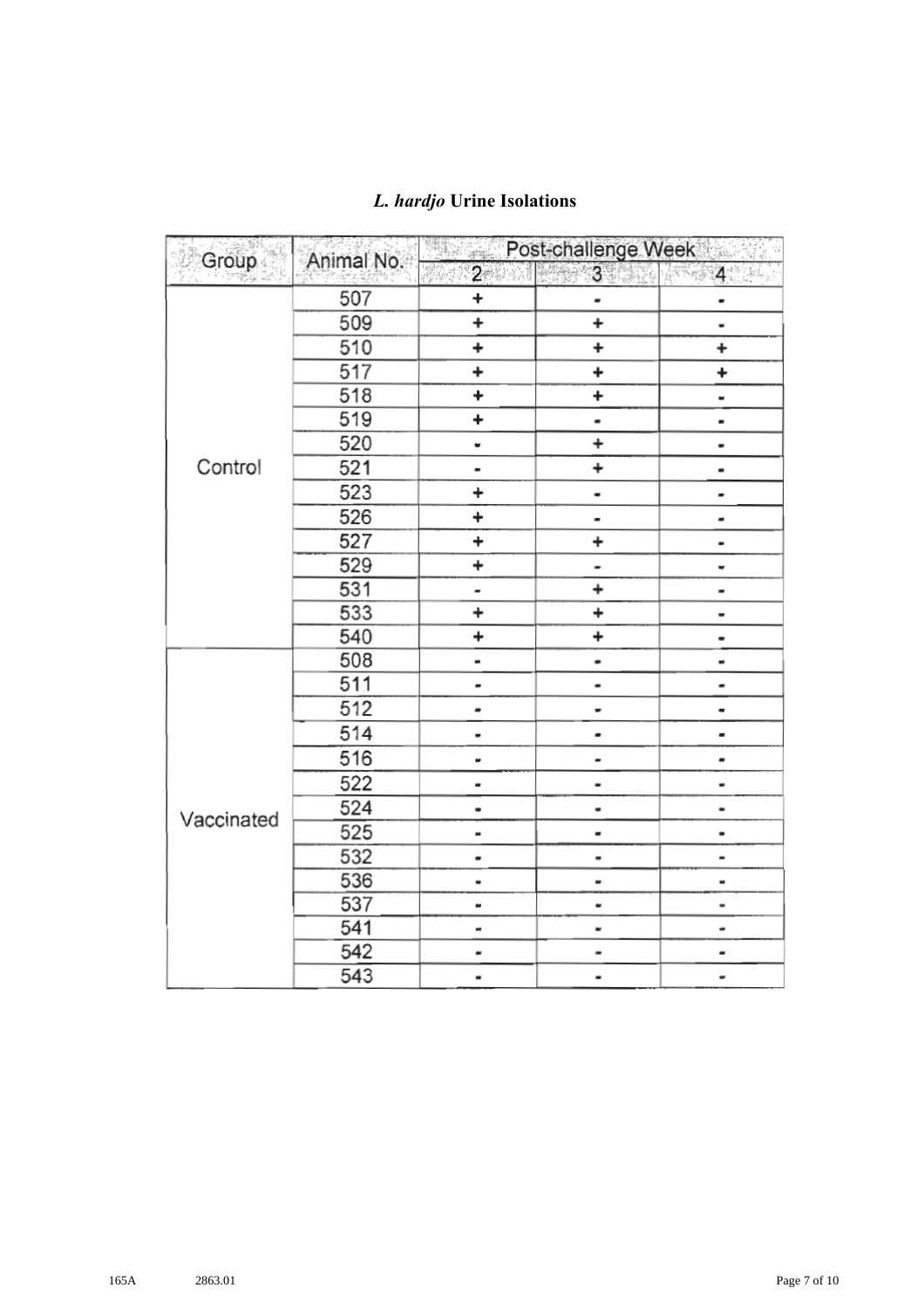| Group      | Animal No. |                              | Post-challenge Week          |                              |
|------------|------------|------------------------------|------------------------------|------------------------------|
|            |            | $\overline{2}$               | 3 <sup>1</sup>               | $4 - 4$                      |
|            | 507        | +                            |                              |                              |
|            | 509        | $\ddot{}$                    | $\ddot{}$                    |                              |
|            | 510        | $\ddot{}$                    | <sup>+</sup>                 | <sup>+</sup>                 |
|            | 517        | +                            | ÷,                           | ÷                            |
|            | 518        | ÷                            | ÷.                           |                              |
|            | 519        | ÷.                           | $\qquad \qquad \blacksquare$ | $\blacksquare$               |
|            | 520        | u                            | +                            |                              |
| Control    | 521        | $\blacksquare$               | +                            |                              |
|            | 523        | ÷                            | $\qquad \qquad \blacksquare$ | $\overline{\phantom{0}}$     |
|            | 526        | $\ddot{}$                    | $\qquad \qquad \blacksquare$ | $\qquad \qquad \blacksquare$ |
|            | 527        | +                            | ÷                            |                              |
|            | 529        | ÷                            |                              | ٠                            |
|            | 531        | $\blacksquare$               | $\ddot{}$                    | $\qquad \qquad \blacksquare$ |
|            | 533        | +                            | $\ddot{}$                    |                              |
|            | 540        | $\ddot{}$                    | ÷                            |                              |
|            | 508        | $\qquad \qquad \blacksquare$ |                              | $\qquad \qquad \blacksquare$ |
|            | 511        |                              | $\overline{a}$               | -                            |
|            | 512        |                              | $\overline{a}$               |                              |
|            | 514        |                              |                              |                              |
|            | 516        |                              | $\overline{\phantom{a}}$     |                              |
|            | 522        |                              | -                            |                              |
| Vaccinated | 524        |                              | ٠                            |                              |
|            | 525        |                              |                              | $\blacksquare$               |
|            | 532        |                              | -                            | $\overline{\phantom{0}}$     |
|            | 536        |                              | $\qquad \qquad \blacksquare$ | $\qquad \qquad \blacksquare$ |
|            | 537        |                              |                              | $\qquad \qquad \blacksquare$ |
|            | 541        |                              |                              |                              |
|            | 542        |                              |                              |                              |
|            | 543        | ۰                            |                              |                              |

## *L. hardjo* **Urine Isolations**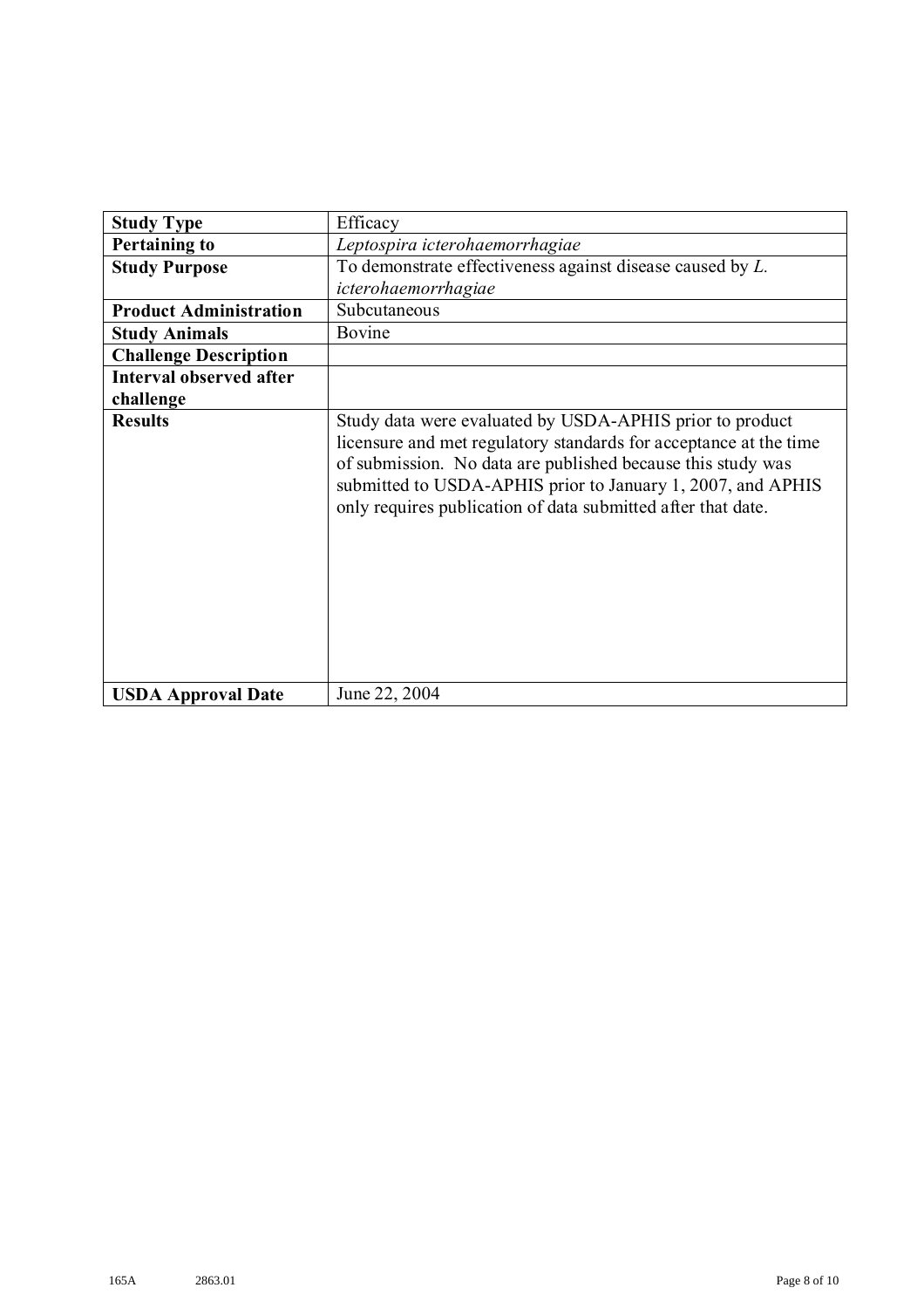| <b>Study Type</b>              | Efficacy                                                                                                                                                                                                                                                                                                                    |
|--------------------------------|-----------------------------------------------------------------------------------------------------------------------------------------------------------------------------------------------------------------------------------------------------------------------------------------------------------------------------|
| <b>Pertaining to</b>           | Leptospira icterohaemorrhagiae                                                                                                                                                                                                                                                                                              |
| <b>Study Purpose</b>           | To demonstrate effectiveness against disease caused by $L$ .                                                                                                                                                                                                                                                                |
|                                | icterohaemorrhagiae                                                                                                                                                                                                                                                                                                         |
| <b>Product Administration</b>  | Subcutaneous                                                                                                                                                                                                                                                                                                                |
| <b>Study Animals</b>           | Bovine                                                                                                                                                                                                                                                                                                                      |
| <b>Challenge Description</b>   |                                                                                                                                                                                                                                                                                                                             |
| <b>Interval observed after</b> |                                                                                                                                                                                                                                                                                                                             |
| challenge                      |                                                                                                                                                                                                                                                                                                                             |
| <b>Results</b>                 | Study data were evaluated by USDA-APHIS prior to product<br>licensure and met regulatory standards for acceptance at the time<br>of submission. No data are published because this study was<br>submitted to USDA-APHIS prior to January 1, 2007, and APHIS<br>only requires publication of data submitted after that date. |
| <b>USDA Approval Date</b>      | June 22, 2004                                                                                                                                                                                                                                                                                                               |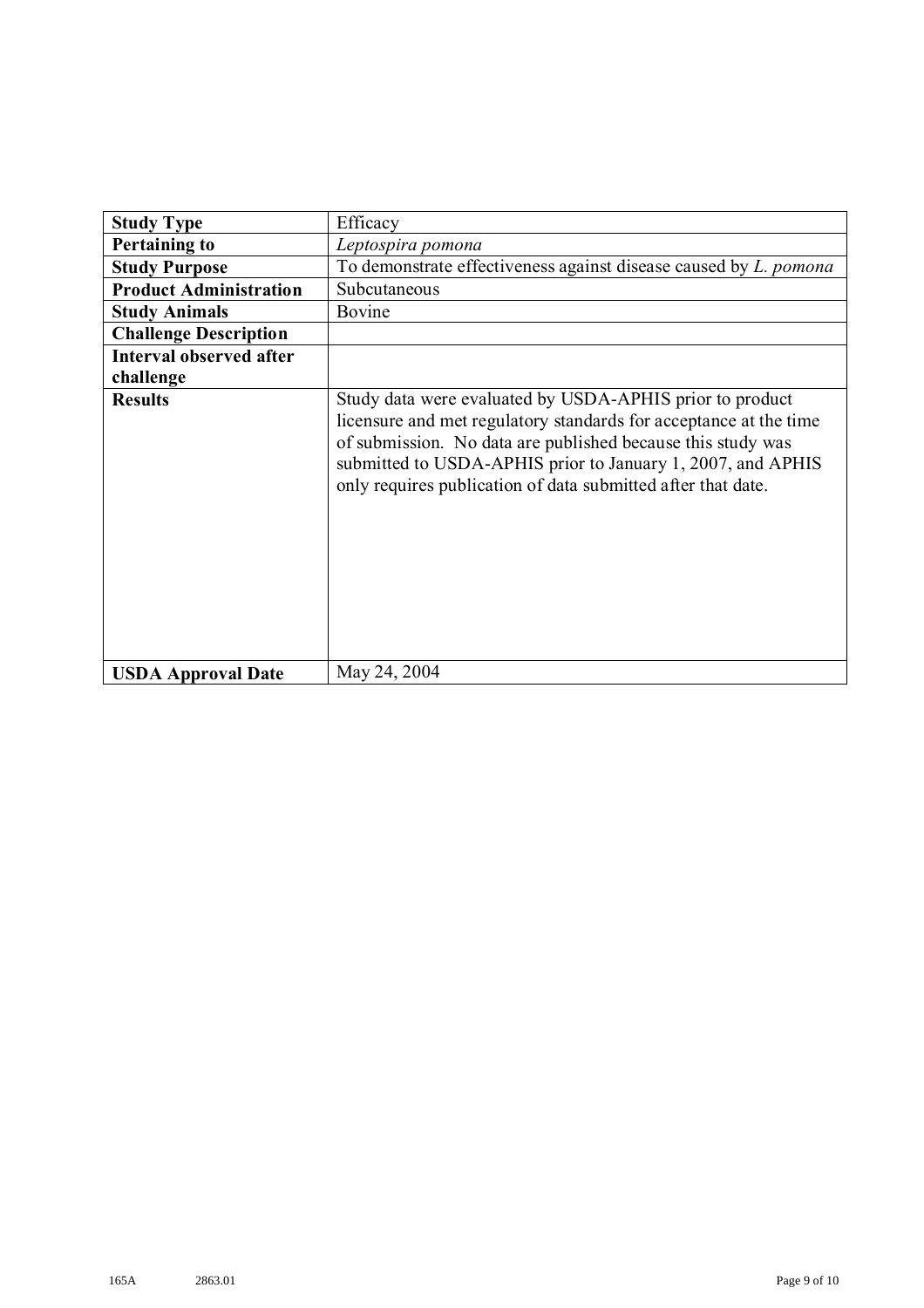| <b>Study Type</b>              | Efficacy                                                                                                                                                                                                                                                                                                                    |  |
|--------------------------------|-----------------------------------------------------------------------------------------------------------------------------------------------------------------------------------------------------------------------------------------------------------------------------------------------------------------------------|--|
| <b>Pertaining to</b>           | Leptospira pomona                                                                                                                                                                                                                                                                                                           |  |
| <b>Study Purpose</b>           | To demonstrate effectiveness against disease caused by <i>L. pomona</i>                                                                                                                                                                                                                                                     |  |
| <b>Product Administration</b>  | Subcutaneous                                                                                                                                                                                                                                                                                                                |  |
| <b>Study Animals</b>           | Bovine                                                                                                                                                                                                                                                                                                                      |  |
| <b>Challenge Description</b>   |                                                                                                                                                                                                                                                                                                                             |  |
| <b>Interval observed after</b> |                                                                                                                                                                                                                                                                                                                             |  |
| challenge                      |                                                                                                                                                                                                                                                                                                                             |  |
| <b>Results</b>                 | Study data were evaluated by USDA-APHIS prior to product<br>licensure and met regulatory standards for acceptance at the time<br>of submission. No data are published because this study was<br>submitted to USDA-APHIS prior to January 1, 2007, and APHIS<br>only requires publication of data submitted after that date. |  |
| <b>USDA Approval Date</b>      | May 24, 2004                                                                                                                                                                                                                                                                                                                |  |